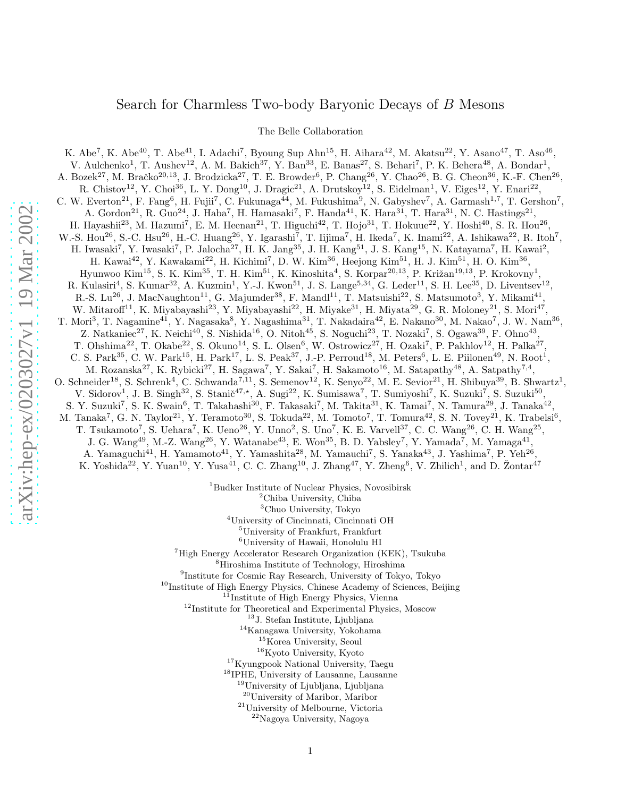## Search for Charmless Two-body Baryonic Decays of B Mesons

The Belle Collaboration

K. Abe<sup>7</sup>, K. Abe<sup>40</sup>, T. Abe<sup>41</sup>, I. Adachi<sup>7</sup>, Byoung Sup Ahn<sup>15</sup>, H. Aihara<sup>42</sup>, M. Akatsu<sup>22</sup>, Y. Asano<sup>47</sup>, T. Aso<sup>46</sup>, V. Aulchenko<sup>1</sup>, T. Aushev<sup>12</sup>, A. M. Bakich<sup>37</sup>, Y. Ban<sup>33</sup>, E. Banas<sup>27</sup>, S. Behari<sup>7</sup>, P. K. Behera<sup>48</sup>, A. Bondar<sup>1</sup>, A. Bozek<sup>27</sup>, M. Bračko<sup>20,13</sup>, J. Brodzicka<sup>27</sup>, T. E. Browder<sup>6</sup>, P. Chang<sup>26</sup>, Y. Chao<sup>26</sup>, B. G. Cheon<sup>36</sup>, K.-F. Chen<sup>26</sup>, R. Chistov<sup>12</sup>, Y. Choi<sup>36</sup>, L. Y. Dong<sup>10</sup>, J. Dragic<sup>21</sup>, A. Drutskoy<sup>12</sup>, S. Eidelman<sup>1</sup>, V. Eiges<sup>12</sup>, Y. Enari<sup>22</sup>, C. W. Everton<sup>21</sup>, F. Fang<sup>6</sup>, H. Fujii<sup>7</sup>, C. Fukunaga<sup>44</sup>, M. Fukushima<sup>9</sup>, N. Gabyshev<sup>7</sup>, A. Garmash<sup>1,7</sup>, T. Gershon<sup>7</sup>, A. Gordon<sup>21</sup>, R. Guo<sup>24</sup>, J. Haba<sup>7</sup>, H. Hamasaki<sup>7</sup>, F. Handa<sup>41</sup>, K. Hara<sup>31</sup>, T. Hara<sup>31</sup>, N. C. Hastings<sup>21</sup>, H. Hayashii<sup>23</sup>, M. Hazumi<sup>7</sup>, E. M. Heenan<sup>21</sup>, T. Higuchi<sup>42</sup>, T. Hojo<sup>31</sup>, T. Hokuue<sup>22</sup>, Y. Hoshi<sup>40</sup>, S. R. Hou<sup>26</sup>, W.-S. Hou<sup>26</sup>, S.-C. Hsu<sup>26</sup>, H.-C. Huang<sup>26</sup>, Y. Igarashi<sup>7</sup>, T. Iijima<sup>7</sup>, H. Ikeda<sup>7</sup>, K. Inami<sup>22</sup>, A. Ishikawa<sup>22</sup>, R. Itoh<sup>7</sup>, H. Iwasaki<sup>7</sup>, Y. Iwasaki<sup>7</sup>, P. Jalocha<sup>27</sup>, H. K. Jang<sup>35</sup>, J. H. Kang<sup>51</sup>, J. S. Kang<sup>15</sup>, N. Katayama<sup>7</sup>, H. Kawai<sup>2</sup>, H. Kawai<sup>42</sup>, Y. Kawakami<sup>22</sup>, H. Kichimi<sup>7</sup>, D. W. Kim<sup>36</sup>, Heejong Kim<sup>51</sup>, H. J. Kim<sup>51</sup>, H. O. Kim<sup>36</sup>, Hyunwoo Kim<sup>15</sup>, S. K. Kim<sup>35</sup>, T. H. Kim<sup>51</sup>, K. Kinoshita<sup>4</sup>, S. Korpar<sup>20,13</sup>, P. Križan<sup>19,13</sup>, P. Krokovny<sup>1</sup>, R. Kulasiri<sup>4</sup>, S. Kumar<sup>32</sup>, A. Kuzmin<sup>1</sup>, Y.-J. Kwon<sup>51</sup>, J. S. Lange<sup>5,34</sup>, G. Leder<sup>11</sup>, S. H. Lee<sup>35</sup>, D. Liventsev<sup>12</sup>, R.-S. Lu<sup>26</sup>, J. MacNaughton<sup>11</sup>, G. Majumder<sup>38</sup>, F. Mandl<sup>11</sup>, T. Matsuishi<sup>22</sup>, S. Matsumoto<sup>3</sup>, Y. Mikami<sup>41</sup>, W. Mitaroff<sup>11</sup>, K. Miyabayashi<sup>23</sup>, Y. Miyabayashi<sup>22</sup>, H. Miyake<sup>31</sup>, H. Miyata<sup>29</sup>, G. R. Moloney<sup>21</sup>, S. Mori<sup>47</sup>, T. Mori<sup>3</sup>, T. Nagamine<sup>41</sup>, Y. Nagasaka<sup>8</sup>, Y. Nagashima<sup>31</sup>, T. Nakadaira<sup>42</sup>, E. Nakano<sup>30</sup>, M. Nakao<sup>7</sup>, J. W. Nam<sup>36</sup>, Z. Natkaniec<sup>27</sup>, K. Neichi<sup>40</sup>, S. Nishida<sup>16</sup>, O. Nitoh<sup>45</sup>, S. Noguchi<sup>23</sup>, T. Nozaki<sup>7</sup>, S. Ogawa<sup>39</sup>, F. Ohno<sup>43</sup>, T. Ohshima<sup>22</sup>, T. Okabe<sup>22</sup>, S. Okuno<sup>14</sup>, S. L. Olsen<sup>6</sup>, W. Ostrowicz<sup>27</sup>, H. Ozaki<sup>7</sup>, P. Pakhlov<sup>12</sup>, H. Palka<sup>27</sup>, C. S. Park<sup>35</sup>, C. W. Park<sup>15</sup>, H. Park<sup>17</sup>, L. S. Peak<sup>37</sup>, J.-P. Perroud<sup>18</sup>, M. Peters<sup>6</sup>, L. E. Piilonen<sup>49</sup>, N. Root<sup>1</sup>, M. Rozanska<sup>27</sup>, K. Rybicki<sup>27</sup>, H. Sagawa<sup>7</sup>, Y. Sakai<sup>7</sup>, H. Sakamoto<sup>16</sup>, M. Satapathy<sup>48</sup>, A. Satpathy<sup>7,4</sup>, O. Schneider<sup>18</sup>, S. Schrenk<sup>4</sup>, C. Schwanda<sup>7,11</sup>, S. Semenov<sup>12</sup>, K. Senyo<sup>22</sup>, M. E. Sevior<sup>21</sup>, H. Shibuya<sup>39</sup>, B. Shwartz<sup>1</sup>, V. Sidorov<sup>1</sup>, J. B. Singh<sup>32</sup>, S. Stanič<sup>47,\*</sup>, A. Sugi<sup>22</sup>, K. Sumisawa<sup>7</sup>, T. Sumiyoshi<sup>7</sup>, K. Suzuki<sup>7</sup>, S. Suzuki<sup>50</sup>, S. Y. Suzuki<sup>7</sup>, S. K. Swain<sup>6</sup>, T. Takahashi<sup>30</sup>, F. Takasaki<sup>7</sup>, M. Takita<sup>31</sup>, K. Tamai<sup>7</sup>, N. Tamura<sup>29</sup>, J. Tanaka<sup>42</sup>, M. Tanaka<sup>7</sup>, G. N. Taylor<sup>21</sup>, Y. Teramoto<sup>30</sup>, S. Tokuda<sup>22</sup>, M. Tomoto<sup>7</sup>, T. Tomura<sup>42</sup>, S. N. Tovey<sup>21</sup>, K. Trabelsi<sup>6</sup>, T. Tsukamoto<sup>7</sup>, S. Uehara<sup>7</sup>, K. Ueno<sup>26</sup>, Y. Unno<sup>2</sup>, S. Uno<sup>7</sup>, K. E. Varvell<sup>37</sup>, C. C. Wang<sup>26</sup>, C. H. Wang<sup>25</sup>, J. G. Wang<sup>49</sup>, M.-Z. Wang<sup>26</sup>, Y. Watanabe<sup>43</sup>, E. Won<sup>35</sup>, B. D. Yabsley<sup>7</sup>, Y. Yamada<sup>7</sup>, M. Yamaga<sup>41</sup>, A. Yamaguchi<sup>41</sup>, H. Yamamoto<sup>41</sup>, Y. Yamashita<sup>28</sup>, M. Yamauchi<sup>7</sup>, S. Yanaka<sup>43</sup>, J. Yashima<sup>7</sup>, P. Yeh<sup>26</sup>, K. Yoshida<sup>22</sup>, Y. Yuan<sup>10</sup>, Y. Yusa<sup>41</sup>, C. C. Zhang<sup>10</sup>, J. Zhang<sup>47</sup>, Y. Zheng<sup>6</sup>, V. Zhilich<sup>1</sup>, and D. Žontar<sup>47</sup>

 $^1$ Budker Institute of Nuclear Physics, Novosibirsk  $^2$ Chiba University, Chiba  $^3$ Chuo University, Tokyo  $^4$ University of Cincinnati, Cincinnati OH  $^5$ University of Frankfurt, Frankfurt  $^6$ University of Hawaii, Hono

<sup>7</sup>High Energy Accelerator Research Organization (KEK), Tsukuba  $8\text{Hiroshima}$  Institute of Technology, Hiroshima

<sup>9</sup>Institute for Cosmic Ray Research, University of Tokyo, Tokyo

 $10$ Institute of High Energy Physics, Chinese Academy of Sciences, Beijing

<sup>11</sup>Institute of High Energy Physics, Vienna

<sup>12</sup>Institute for Theoretical and Experimental Physics, Moscow

<sup>13</sup>J. Stefan Institute, Ljubljana

<sup>14</sup>Kanagawa University, Yokohama

- <sup>15</sup>Korea University, Seoul
- <sup>16</sup>Kyoto University, Kyoto

<sup>17</sup>Kyungpook National University, Taegu

<sup>18</sup>IPHE, University of Lausanne, Lausanne

<sup>19</sup>University of Ljubljana, Ljubljana

<sup>20</sup>University of Maribor, Maribor

<sup>21</sup>University of Melbourne, Victoria

<sup>22</sup>Nagoya University, Nagoya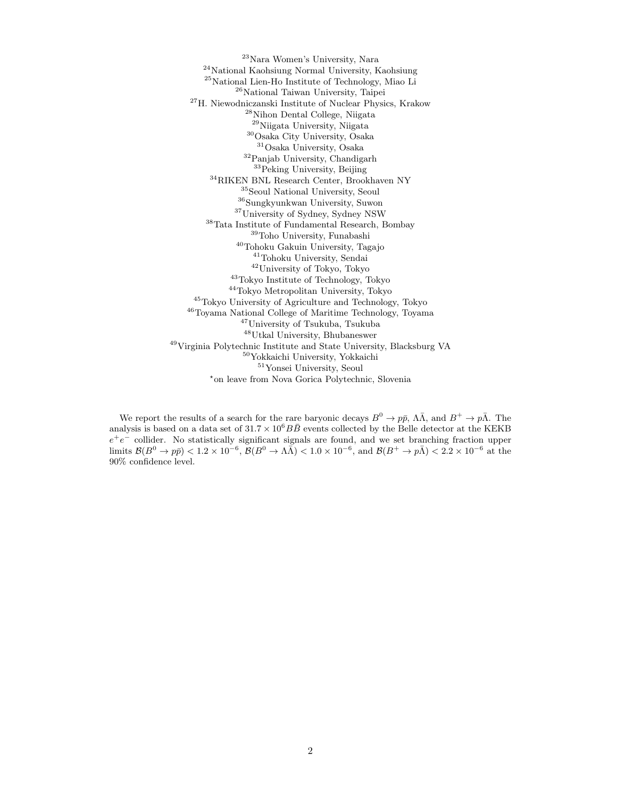Nara Women's University, Nara National Kaohsiung Normal University, Kaohsiung National Lien-Ho Institute of Technology, Miao Li National Taiwan University, Taipei H. Niewodniczanski Institute of Nuclear Physics, Krakow Nihon Dental College, Niigata Niigata University, Niigata Osaka City University, Osaka Osaka University, Osaka Panjab University, Chandigarh Peking University, Beijing  $^{34}\rm RIKEN$ BNL Research Center, Brookhaven NY Seoul National University, Seoul  $^{36}$ Sungkyunkwan University, Suwon $^{37}$ University of Sydney, Sydney NSW  $38\,\mathrm{T}$ Institute of Fundamental Research, Bombay Toho University, Funabashi Tohoku Gakuin University, Tagajo Tohoku University, Sendai University of Tokyo, Tokyo Tokyo Institute of Technology, Tokyo Tokyo Metropolitan University, Tokyo Tokyo University of Agriculture and Technology, Tokyo Toyama National College of Maritime Technology, Toyama University of Tsukuba, Tsukuba Utkal University, Bhubaneswer Virginia Polytechnic Institute and State University, Blacksburg VA Yokkaichi University, Yokkaichi Yonsei University, Seoul ⋆ on leave from Nova Gorica Polytechnic, Slovenia

We report the results of a search for the rare baryonic decays  $B^0 \to p\bar{p}$ ,  $\Lambda\bar{\Lambda}$ , and  $B^+ \to p\bar{\Lambda}$ . The analysis is based on a data set of  $31.7 \times 10^6 B\overline{B}$  events collected by the Belle detector at the KEKB  $e^+e^-$  collider. No statistically significant signals are found, and we set branching fraction upper  $\text{limits } \mathcal{B}(B^0 \to p\bar{p}) < 1.2 \times 10^{-6}, \ \mathcal{B}(B^0 \to \Lambda\bar{\Lambda}) < 1.0 \times 10^{-6}, \text{ and } \mathcal{B}(B^+ \to p\bar{\Lambda}) < 2.2 \times 10^{-6} \text{ at the }$ 90% confidence level.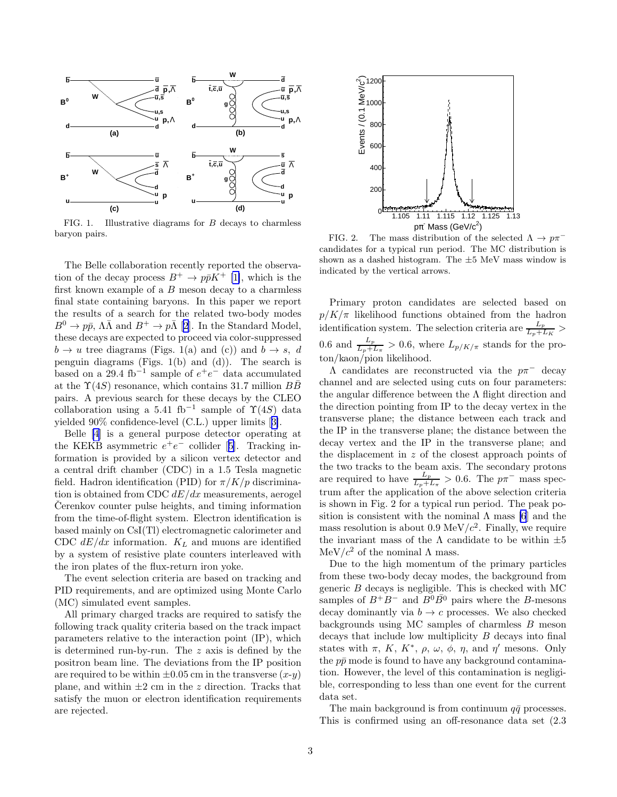

FIG. 1. Illustrative diagrams for  $B$  decays to charmless baryon pairs.

The Belle collaboration recently reported the observation of the decay process  $B^+ \to p\bar{p}K^+$  [\[1\]](#page-4-0), which is the first known example of a B meson decay to a charmless final state containing baryons. In this paper we report the results of a search for the related two-body modes  $B^0 \to p\bar{p}, \Lambda\bar{\Lambda}$  and  $B^+ \to p\bar{\Lambda}$  [\[2](#page-4-0)]. In the Standard Model, these decays are expected to proceed via color-suppressed  $b \to u$  tree diagrams (Figs. 1(a) and (c)) and  $b \to s$ , d penguin diagrams (Figs. 1(b) and (d)). The search is based on a 29.4 fb<sup>-1</sup> sample of  $e^+e^-$  data accumulated at the  $\Upsilon(4S)$  resonance, which contains 31.7 million BB pairs. A previous search for these decays by the CLEO collaboration using a 5.41 fb<sup>-1</sup> sample of  $\Upsilon(4S)$  data yielded 90% confidence-level (C.L.) upper limits[[3\]](#page-4-0).

Belle [\[4](#page-4-0)] is a general purpose detector operating at theKEKB asymmetric  $e^+e^-$  collider [[5\]](#page-4-0). Tracking information is provided by a silicon vertex detector and a central drift chamber (CDC) in a 1.5 Tesla magnetic field. Hadron identification (PID) for  $\pi/K/p$  discrimination is obtained from CDC  $dE/dx$  measurements, aerogel Cerenkov counter pulse heights, and timing information from the time-of-flight system. Electron identification is based mainly on CsI(Tl) electromagnetic calorimeter and CDC  $dE/dx$  information.  $K_L$  and muons are identified by a system of resistive plate counters interleaved with the iron plates of the flux-return iron yoke.

The event selection criteria are based on tracking and PID requirements, and are optimized using Monte Carlo (MC) simulated event samples.

All primary charged tracks are required to satisfy the following track quality criteria based on the track impact parameters relative to the interaction point (IP), which is determined run-by-run. The z axis is defined by the positron beam line. The deviations from the IP position are required to be within  $\pm 0.05$  cm in the transverse  $(x-y)$ plane, and within  $\pm 2$  cm in the z direction. Tracks that satisfy the muon or electron identification requirements are rejected.



FIG. 2. The mass distribution of the selected  $\Lambda \to p\pi^$ candidates for a typical run period. The MC distribution is shown as a dashed histogram. The ±5 MeV mass window is indicated by the vertical arrows.

Primary proton candidates are selected based on  $p/K/\pi$  likelihood functions obtained from the hadron identification system. The selection criteria are  $\frac{L_p}{L_p + L_K}$  > 0.6 and  $\frac{L_p}{L_p+L_{\pi}}>0.6$ , where  $L_{p/K/\pi}$  stands for the proton/kaon/pion likelihood.

Λ candidates are reconstructed via the pπ<sup>−</sup> decay channel and are selected using cuts on four parameters: the angular difference between the  $\Lambda$  flight direction and the direction pointing from IP to the decay vertex in the transverse plane; the distance between each track and the IP in the transverse plane; the distance between the decay vertex and the IP in the transverse plane; and the displacement in z of the closest approach points of the two tracks to the beam axis. The secondary protons are required to have  $\frac{L_p}{L_p+L_\pi} > 0.6$ . The  $p\pi^-$  mass spectrum after the application of the above selection criteria is shown in Fig. 2 for a typical run period. The peak position is consistent with the nominal  $\Lambda$  mass [\[6](#page-4-0)] and the mass resolution is about 0.9 MeV/ $c^2$ . Finally, we require the invariant mass of the  $\Lambda$  candidate to be within  $\pm 5$ MeV/ $c<sup>2</sup>$  of the nominal  $\Lambda$  mass.

Due to the high momentum of the primary particles from these two-body decay modes, the background from generic B decays is negligible. This is checked with MC samples of  $B^+B^-$  and  $B^0\overline{B^0}$  pairs where the B-mesons decay dominantly via  $b \to c$  processes. We also checked backgrounds using MC samples of charmless B meson decays that include low multiplicity B decays into final states with  $\pi$ , K, K<sup>\*</sup>,  $\rho$ ,  $\omega$ ,  $\phi$ ,  $\eta$ , and  $\eta'$  mesons. Only the  $p\bar{p}$  mode is found to have any background contamination. However, the level of this contamination is negligible, corresponding to less than one event for the current data set.

The main background is from continuum  $q\bar{q}$  processes. This is confirmed using an off-resonance data set (2.3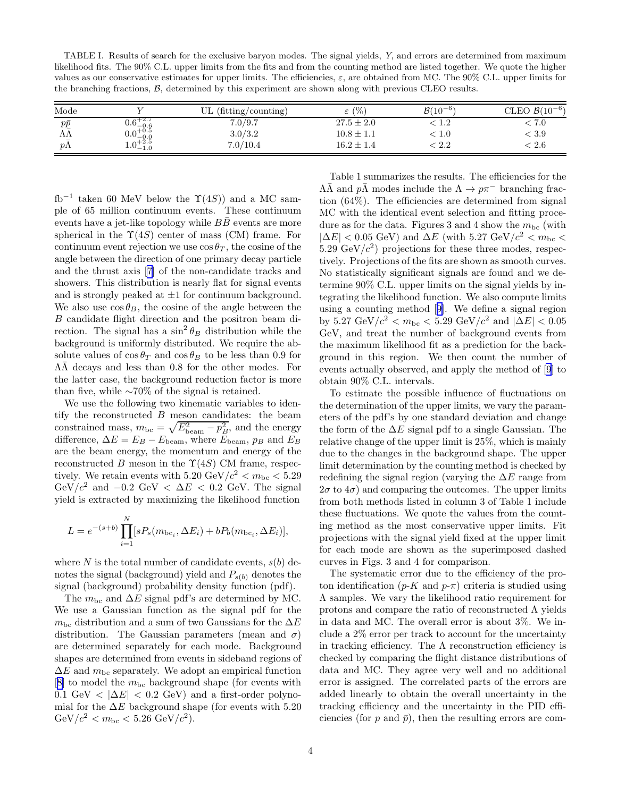TABLE I. Results of search for the exclusive baryon modes. The signal yields, Y, and errors are determined from maximum likelihood fits. The 90% C.L. upper limits from the fits and from the counting method are listed together. We quote the higher values as our conservative estimates for upper limits. The efficiencies,  $\varepsilon$ , are obtained from MC. The 90% C.L. upper limits for the branching fractions, B, determined by this experiment are shown along with previous CLEO results.

| Mode                   |                        | (fitting/counting) | $\varepsilon$ (%) | $B(10^{-6})$ | CLEO $\mathcal{B}(10^{-6})$ |
|------------------------|------------------------|--------------------|-------------------|--------------|-----------------------------|
| $p\bar p$              | $0.6^{+2.7}_{-0.6}$    | 7.0/9.7            | $27.5 \pm 2.0$    | 1.2          | 7.0                         |
| W                      | $0.0^{+0.5}_{-0.0}$    | 3.0/3.2            | $10.8 \pm 1.1$    | . 1.0        | < 3.9                       |
| $\equiv$<br>$p\Lambda$ | $n+2.5$<br>$1.0 - 1.0$ | 7.0/10.4           | $16.2 \pm 1.4$    | < 2.2        | $\stackrel{<}{_{\sim}} 2.6$ |

fb<sup>-1</sup> taken 60 MeV below the  $\Upsilon(4S)$  and a MC sample of 65 million continuum events. These continuum events have a jet-like topology while  $B\bar{B}$  events are more spherical in the  $\Upsilon(4S)$  center of mass (CM) frame. For continuum event rejection we use  $\cos \theta_T$ , the cosine of the angle between the direction of one primary decay particle and the thrust axis [\[7](#page-4-0)] of the non-candidate tracks and showers. This distribution is nearly flat for signal events and is strongly peaked at  $\pm 1$  for continuum background. We also use  $\cos \theta_B$ , the cosine of the angle between the B candidate flight direction and the positron beam direction. The signal has a  $\sin^2 \theta_B$  distribution while the background is uniformly distributed. We require the absolute values of  $\cos \theta_T$  and  $\cos \theta_B$  to be less than 0.9 for  $\Lambda\overline{\Lambda}$  decays and less than 0.8 for the other modes. For the latter case, the background reduction factor is more than five, while ∼70% of the signal is retained.

We use the following two kinematic variables to identify the reconstructed  $B$  meson candidates: the beam constrained mass,  $m_{\rm bc} = \sqrt{E_{\rm beam}^2 - p_B^2}$ , and the energy difference,  $\Delta E = E_B - E_{\text{beam}}$ , where  $E_{\text{beam}}$ ,  $p_B$  and  $E_B$ are the beam energy, the momentum and energy of the reconstructed B meson in the  $\Upsilon(4S)$  CM frame, respectively. We retain events with  $5.20 \text{ GeV}/c^2 < m_{\text{bc}} < 5.29$ GeV/ $c^2$  and  $-0.2$  GeV <  $\Delta E$  < 0.2 GeV. The signal yield is extracted by maximizing the likelihood function

$$
L = e^{-(s+b)} \prod_{i=1}^{N} [sP_s(m_{\text{bc}_i}, \Delta E_i) + bP_b(m_{\text{bc}_i}, \Delta E_i)],
$$

where N is the total number of candidate events,  $s(b)$  denotes the signal (background) yield and  $P_{s(b)}$  denotes the signal (background) probability density function (pdf).

The  $m_{bc}$  and  $\Delta E$  signal pdf's are determined by MC. We use a Gaussian function as the signal pdf for the  $m_{bc}$  distribution and a sum of two Gaussians for the  $\Delta E$ distribution. The Gaussian parameters (mean and  $\sigma$ ) are determined separately for each mode. Background shapes are determined from events in sideband regions of  $\Delta E$  and  $m_{\text{bc}}$  separately. We adopt an empirical function  $[8]$  $[8]$  to model the  $m_{\rm bc}$  background shape (for events with 0.1 GeV <  $|\Delta E|$  < 0.2 GeV) and a first-order polynomial for the  $\Delta E$  background shape (for events with 5.20 GeV/ $c^2$  <  $m_{\text{bc}}$  < 5.26 GeV/ $c^2$ ).

Table 1 summarizes the results. The efficiencies for the  $\Lambda\bar{\Lambda}$  and  $p\bar{\Lambda}$  modes include the  $\Lambda \to p\pi^-$  branching fraction (64%). The efficiencies are determined from signal MC with the identical event selection and fitting procedure as for the data. Figures 3 and 4 show the  $m_{\rm bc}$  (with  $|\Delta E|$  < 0.05 GeV) and  $\Delta E$  (with 5.27 GeV/ $c^2$  <  $m_{\text{bc}}$  <  $5.29 \text{ GeV}/c^2$ ) projections for these three modes, respectively. Projections of the fits are shown as smooth curves. No statistically significant signals are found and we determine 90% C.L. upper limits on the signal yields by integrating the likelihood function. We also compute limits using a counting method[[9\]](#page-5-0). We define a signal region by 5.27 GeV $/c^2$  <  $m_{\text{bc}}$  < 5.29 GeV $/c^2$  and  $|\Delta E|$  < 0.05 GeV, and treat the number of background events from the maximum likelihood fit as a prediction for the background in this region. We then count the number of events actually observed, and apply the method of [\[9](#page-5-0)] to obtain 90% C.L. intervals.

To estimate the possible influence of fluctuations on the determination of the upper limits, we vary the parameters of the pdf's by one standard deviation and change the form of the  $\Delta E$  signal pdf to a single Gaussian. The relative change of the upper limit is 25%, which is mainly due to the changes in the background shape. The upper limit determination by the counting method is checked by redefining the signal region (varying the  $\Delta E$  range from  $2\sigma$  to  $4\sigma$ ) and comparing the outcomes. The upper limits from both methods listed in column 3 of Table 1 include these fluctuations. We quote the values from the counting method as the most conservative upper limits. Fit projections with the signal yield fixed at the upper limit for each mode are shown as the superimposed dashed curves in Figs. 3 and 4 for comparison.

The systematic error due to the efficiency of the proton identification  $(p-K \text{ and } p-\pi)$  criteria is studied using Λ samples. We vary the likelihood ratio requirement for protons and compare the ratio of reconstructed  $\Lambda$  yields in data and MC. The overall error is about 3%. We include a 2% error per track to account for the uncertainty in tracking efficiency. The  $\Lambda$  reconstruction efficiency is checked by comparing the flight distance distributions of data and MC. They agree very well and no additional error is assigned. The correlated parts of the errors are added linearly to obtain the overall uncertainty in the tracking efficiency and the uncertainty in the PID efficiencies (for p and  $\bar{p}$ ), then the resulting errors are com-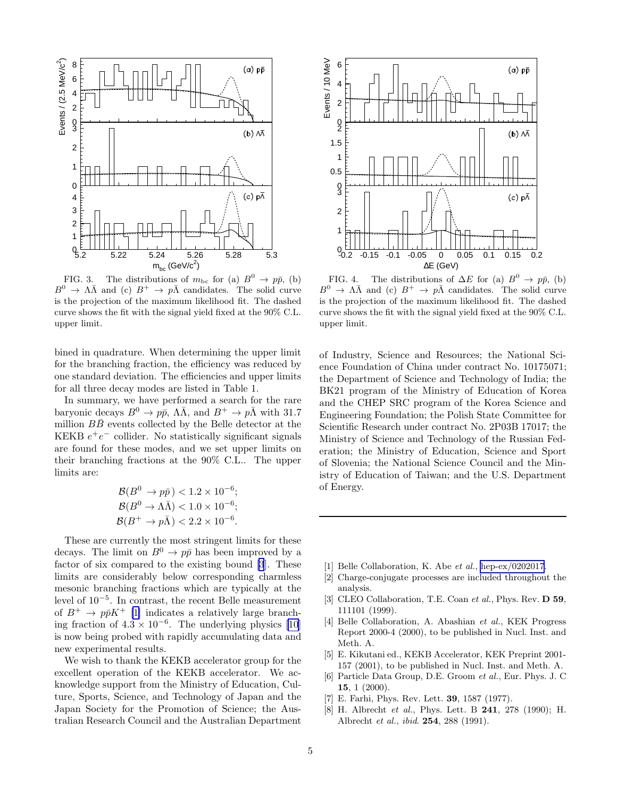<span id="page-4-0"></span>

FIG. 3. The distributions of  $m_{\text{bc}}$  for (a)  $B^0 \rightarrow p\bar{p}$ , (b)  $B^0 \to \Lambda \bar{\Lambda}$  and (c)  $B^+ \to p \bar{\Lambda}$  candidates. The solid curve is the projection of the maximum likelihood fit. The dashed curve shows the fit with the signal yield fixed at the 90% C.L. upper limit.

bined in quadrature. When determining the upper limit for the branching fraction, the efficiency was reduced by one standard deviation. The efficiencies and upper limits for all three decay modes are listed in Table 1.

In summary, we have performed a search for the rare baryonic decays  $B^0 \to p\bar{p}$ ,  $\Lambda\bar{\Lambda}$ , and  $B^+ \to p\bar{\Lambda}$  with 31.7 million  $B\overline{B}$  events collected by the Belle detector at the KEKB  $e^+e^-$  collider. No statistically significant signals are found for these modes, and we set upper limits on their branching fractions at the 90% C.L.. The upper limits are:

$$
\mathcal{B}(B^0 \to p\bar{p}) < 1.2 \times 10^{-6};
$$
\n
$$
\mathcal{B}(B^0 \to \Lambda\bar{\Lambda}) < 1.0 \times 10^{-6};
$$
\n
$$
\mathcal{B}(B^+ \to p\bar{\Lambda}) < 2.2 \times 10^{-6}.
$$

These are currently the most stringent limits for these decays. The limit on  $B^0 \to p\bar{p}$  has been improved by a factor of six compared to the existing bound [3]. These limits are considerably below corresponding charmless mesonic branching fractions which are typically at the level of 10<sup>−</sup><sup>5</sup> . In contrast, the recent Belle measurement of  $B^+ \to p\bar{p}K^+$  [1] indicates a relatively large branching fraction of  $4.3 \times 10^{-6}$ . The underlying physics [\[10](#page-5-0)] is now being probed with rapidly accumulating data and new experimental results.

We wish to thank the KEKB accelerator group for the excellent operation of the KEKB accelerator. We acknowledge support from the Ministry of Education, Culture, Sports, Science, and Technology of Japan and the Japan Society for the Promotion of Science; the Australian Research Council and the Australian Department



FIG. 4. The distributions of  $\Delta E$  for (a)  $B^0 \to p\bar{p}$ , (b)  $B^0 \to \Lambda \bar{\Lambda}$  and (c)  $B^+ \to p\bar{\Lambda}$  candidates. The solid curve is the projection of the maximum likelihood fit. The dashed curve shows the fit with the signal yield fixed at the 90% C.L. upper limit.

of Industry, Science and Resources; the National Science Foundation of China under contract No. 10175071; the Department of Science and Technology of India; the BK21 program of the Ministry of Education of Korea and the CHEP SRC program of the Korea Science and Engineering Foundation; the Polish State Committee for Scientific Research under contract No. 2P03B 17017; the Ministry of Science and Technology of the Russian Federation; the Ministry of Education, Science and Sport of Slovenia; the National Science Council and the Ministry of Education of Taiwan; and the U.S. Department of Energy.

- [1] Belle Collaboration, K. Abe et al., [hep-ex/0202017](http://arxiv.org/abs/hep-ex/0202017).
- [2] Charge-conjugate processes are included throughout the analysis.
- [3] CLEO Collaboration, T.E. Coan et al., Phys. Rev. D 59, 111101 (1999).
- [4] Belle Collaboration, A. Abashian et al., KEK Progress Report 2000-4 (2000), to be published in Nucl. Inst. and Meth. A.
- [5] E. Kikutani ed., KEKB Accelerator, KEK Preprint 2001- 157 (2001), to be published in Nucl. Inst. and Meth. A.
- [6] Particle Data Group, D.E. Groom et al., Eur. Phys. J. C 15, 1 (2000).
- [7] E. Farhi, Phys. Rev. Lett. 39, 1587 (1977).
- [8] H. Albrecht et al., Phys. Lett. B 241, 278 (1990); H. Albrecht et al., ibid. 254, 288 (1991).